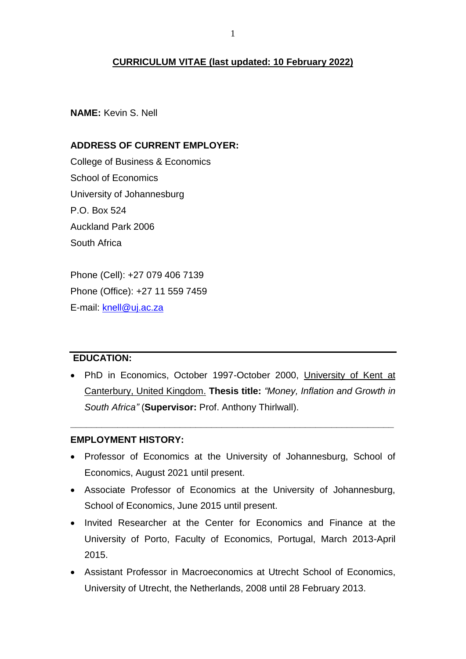## **CURRICULUM VITAE (last updated: 10 February 2022)**

**NAME:** Kevin S. Nell

### **ADDRESS OF CURRENT EMPLOYER:**

College of Business & Economics School of Economics University of Johannesburg P.O. Box 524 Auckland Park 2006 South Africa

Phone (Cell): +27 079 406 7139 Phone (Office): +27 11 559 7459 E-mail: [knell@uj.ac.za](mailto:knell@uj.ac.za)

## **EDUCATION:**

 PhD in Economics, October 1997-October 2000, University of Kent at Canterbury, United Kingdom. **Thesis title:** *"Money, Inflation and Growth in South Africa"* (**Supervisor:** Prof. Anthony Thirlwall).

**\_\_\_\_\_\_\_\_\_\_\_\_\_\_\_\_\_\_\_\_\_\_\_\_\_\_\_\_\_\_\_\_\_\_\_\_\_\_\_\_\_\_\_\_\_\_\_\_\_\_\_\_\_\_\_\_\_\_\_\_\_\_**

#### **EMPLOYMENT HISTORY:**

- Professor of Economics at the University of Johannesburg, School of Economics, August 2021 until present.
- Associate Professor of Economics at the University of Johannesburg, School of Economics, June 2015 until present.
- Invited Researcher at the Center for Economics and Finance at the University of Porto, Faculty of Economics, Portugal, March 2013-April 2015.
- Assistant Professor in Macroeconomics at Utrecht School of Economics, University of Utrecht, the Netherlands, 2008 until 28 February 2013.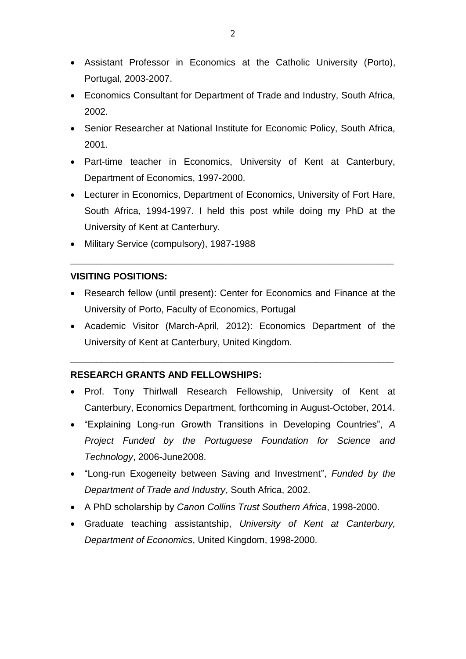- Assistant Professor in Economics at the Catholic University (Porto), Portugal, 2003-2007.
- Economics Consultant for Department of Trade and Industry, South Africa, 2002.
- Senior Researcher at National Institute for Economic Policy, South Africa, 2001.
- Part-time teacher in Economics, University of Kent at Canterbury, Department of Economics, 1997-2000.
- Lecturer in Economics, Department of Economics, University of Fort Hare, South Africa, 1994-1997. I held this post while doing my PhD at the University of Kent at Canterbury.
- Military Service (compulsory), 1987-1988

## **VISITING POSITIONS:**

 Research fellow (until present): Center for Economics and Finance at the University of Porto, Faculty of Economics, Portugal

**\_\_\_\_\_\_\_\_\_\_\_\_\_\_\_\_\_\_\_\_\_\_\_\_\_\_\_\_\_\_\_\_\_\_\_\_\_\_\_\_\_\_\_\_\_\_\_\_\_\_\_\_\_\_\_\_\_\_\_\_\_\_**

 Academic Visitor (March-April, 2012): Economics Department of the University of Kent at Canterbury, United Kingdom.

**\_\_\_\_\_\_\_\_\_\_\_\_\_\_\_\_\_\_\_\_\_\_\_\_\_\_\_\_\_\_\_\_\_\_\_\_\_\_\_\_\_\_\_\_\_\_\_\_\_\_\_\_\_\_\_\_\_\_\_\_\_\_**

## **RESEARCH GRANTS AND FELLOWSHIPS:**

- Prof. Tony Thirlwall Research Fellowship, University of Kent at Canterbury, Economics Department, forthcoming in August-October, 2014.
- "Explaining Long-run Growth Transitions in Developing Countries", *A Project Funded by the Portuguese Foundation for Science and Technology*, 2006-June2008.
- "Long-run Exogeneity between Saving and Investment", *Funded by the Department of Trade and Industry*, South Africa, 2002.
- A PhD scholarship by *Canon Collins Trust Southern Africa*, 1998-2000.
- Graduate teaching assistantship, *University of Kent at Canterbury, Department of Economics*, United Kingdom, 1998-2000.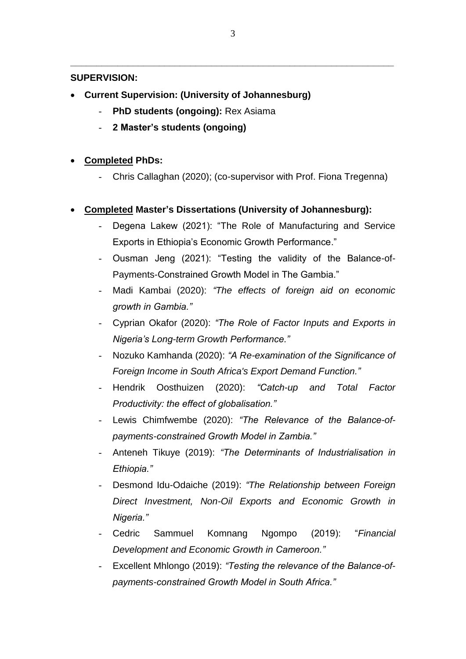## **SUPERVISION:**

- **Current Supervision: (University of Johannesburg)**
	- **PhD students (ongoing): Rex Asiama**
	- **2 Master's students (ongoing)**

# **Completed PhDs:**

Chris Callaghan (2020); (co-supervisor with Prof. Fiona Tregenna)

# **Completed Master's Dissertations (University of Johannesburg):**

- Degena Lakew (2021): "The Role of Manufacturing and Service Exports in Ethiopia's Economic Growth Performance."
- Ousman Jeng (2021): "Testing the validity of the Balance-of-Payments-Constrained Growth Model in The Gambia."
- Madi Kambai (2020): *"The effects of foreign aid on economic growth in Gambia."*
- Cyprian Okafor (2020): *"The Role of Factor Inputs and Exports in Nigeria's Long-term Growth Performance."*
- Nozuko Kamhanda (2020): *"A Re-examination of the Significance of Foreign Income in South Africa's Export Demand Function."*
- Hendrik Oosthuizen (2020): *"Catch-up and Total Factor Productivity: the effect of globalisation."*
- Lewis Chimfwembe (2020): "The Relevance of the Balance-of*payments-constrained Growth Model in Zambia."*
- Anteneh Tikuye (2019): *"The Determinants of Industrialisation in Ethiopia."*
- Desmond Idu-Odaiche (2019): *"The Relationship between Foreign Direct Investment, Non-Oil Exports and Economic Growth in Nigeria."*
- Cedric Sammuel Komnang Ngompo (2019): "*Financial Development and Economic Growth in Cameroon."*
- Excellent Mhlongo (2019): *"Testing the relevance of the Balance-ofpayments-constrained Growth Model in South Africa."*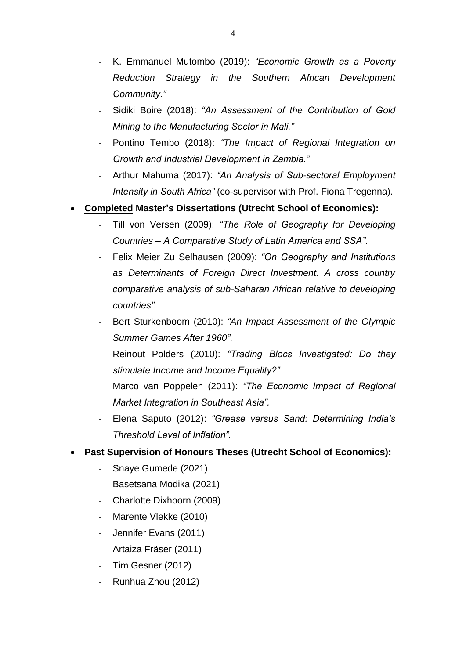- K. Emmanuel Mutombo (2019): *"Economic Growth as a Poverty Reduction Strategy in the Southern African Development Community."*
- Sidiki Boire (2018): *"An Assessment of the Contribution of Gold Mining to the Manufacturing Sector in Mali."*
- Pontino Tembo (2018): *"The Impact of Regional Integration on Growth and Industrial Development in Zambia."*
- Arthur Mahuma (2017): *"An Analysis of Sub-sectoral Employment Intensity in South Africa"* (co-supervisor with Prof. Fiona Tregenna).
- **Completed Master's Dissertations (Utrecht School of Economics):**
	- Till von Versen (2009): *"The Role of Geography for Developing Countries – A Comparative Study of Latin America and SSA"*.
	- Felix Meier Zu Selhausen (2009): *"On Geography and Institutions as Determinants of Foreign Direct Investment. A cross country comparative analysis of sub-Saharan African relative to developing countries".*
	- Bert Sturkenboom (2010): *"An Impact Assessment of the Olympic Summer Games After 1960".*
	- Reinout Polders (2010): *"Trading Blocs Investigated: Do they stimulate Income and Income Equality?"*
	- Marco van Poppelen (2011): *"The Economic Impact of Regional Market Integration in Southeast Asia".*
	- Elena Saputo (2012): *"Grease versus Sand: Determining India's Threshold Level of Inflation".*
- **Past Supervision of Honours Theses (Utrecht School of Economics):**
	- Snaye Gumede (2021)
	- Basetsana Modika (2021)
	- Charlotte Dixhoorn (2009)
	- Marente Vlekke (2010)
	- Jennifer Evans (2011)
	- Artaiza Fräser (2011)
	- Tim Gesner (2012)
	- Runhua Zhou (2012)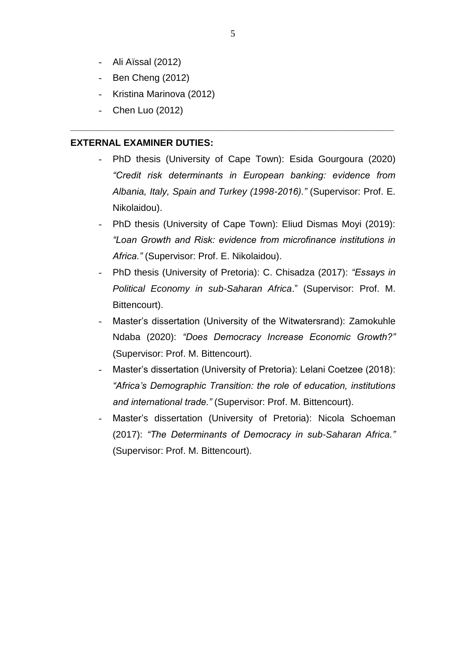- Ali Aïssal (2012)
- Ben Cheng (2012)
- Kristina Marinova (2012)
- Chen Luo (2012)

## **EXTERNAL EXAMINER DUTIES:**

- PhD thesis (University of Cape Town): Esida Gourgoura (2020) *"Credit risk determinants in European banking: evidence from Albania, Italy, Spain and Turkey (1998-2016)."* (Supervisor: Prof. E. Nikolaidou).
- PhD thesis (University of Cape Town): Eliud Dismas Moyi (2019): *"Loan Growth and Risk: evidence from microfinance institutions in Africa."* (Supervisor: Prof. E. Nikolaidou).
- PhD thesis (University of Pretoria): C. Chisadza (2017): *"Essays in Political Economy in sub-Saharan Africa*." (Supervisor: Prof. M. Bittencourt).
- Master's dissertation (University of the Witwatersrand): Zamokuhle Ndaba (2020): *"Does Democracy Increase Economic Growth?"* (Supervisor: Prof. M. Bittencourt).
- Master's dissertation (University of Pretoria): Lelani Coetzee (2018): *"Africa's Demographic Transition: the role of education, institutions and international trade."* (Supervisor: Prof. M. Bittencourt).
- Master's dissertation (University of Pretoria): Nicola Schoeman (2017): *"The Determinants of Democracy in sub-Saharan Africa."* (Supervisor: Prof. M. Bittencourt).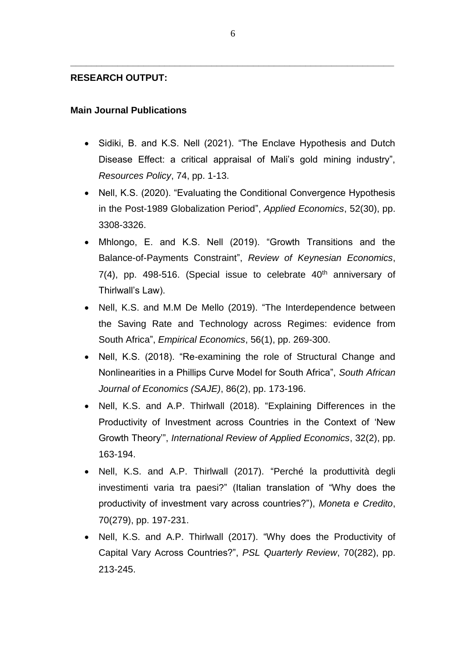### **RESEARCH OUTPUT:**

#### **Main Journal Publications**

- Sidiki, B. and K.S. Nell (2021). "The Enclave Hypothesis and Dutch Disease Effect: a critical appraisal of Mali's gold mining industry", *Resources Policy*, 74, pp. 1-13.
- Nell, K.S. (2020). "Evaluating the Conditional Convergence Hypothesis in the Post-1989 Globalization Period", *Applied Economics*, 52(30), pp. 3308-3326.
- Mhlongo, E. and K.S. Nell (2019). "Growth Transitions and the Balance-of-Payments Constraint", *Review of Keynesian Economics*, 7(4), pp. 498-516. (Special issue to celebrate  $40<sup>th</sup>$  anniversary of Thirlwall's Law).
- Nell, K.S. and M.M De Mello (2019). "The Interdependence between the Saving Rate and Technology across Regimes: evidence from South Africa", *Empirical Economics*, 56(1), pp. 269-300.
- Nell, K.S. (2018). "Re-examining the role of Structural Change and Nonlinearities in a Phillips Curve Model for South Africa", *South African Journal of Economics (SAJE)*, 86(2), pp. 173-196.
- Nell, K.S. and A.P. Thirlwall (2018). "Explaining Differences in the Productivity of Investment across Countries in the Context of 'New Growth Theory'", *International Review of Applied Economics*, 32(2), pp. 163-194.
- Nell, K.S. and A.P. Thirlwall (2017). "Perché la produttività degli investimenti varia tra paesi?" (Italian translation of "Why does the productivity of investment vary across countries?"), *Moneta e Credito*, 70(279), pp. 197-231.
- Nell, K.S. and A.P. Thirlwall (2017). "Why does the Productivity of Capital Vary Across Countries?", *PSL Quarterly Review*, 70(282), pp. 213-245.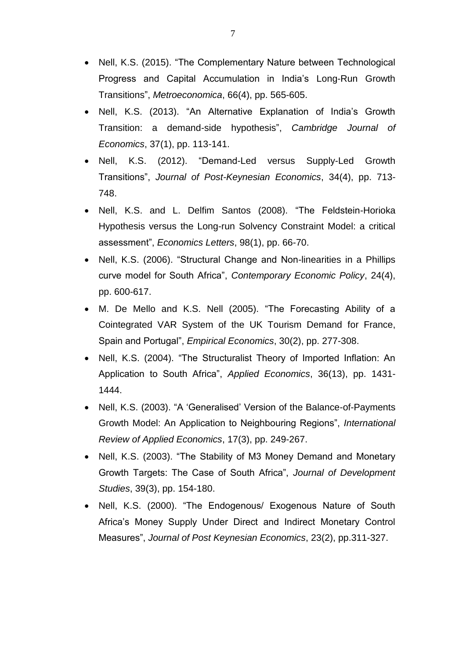- Nell, K.S. (2015). "The Complementary Nature between Technological Progress and Capital Accumulation in India's Long-Run Growth Transitions", *Metroeconomica*, 66(4), pp. 565-605.
- Nell, K.S. (2013). "An Alternative Explanation of India's Growth Transition: a demand-side hypothesis", *Cambridge Journal of Economics*, 37(1), pp. 113-141.
- Nell, K.S. (2012). "Demand-Led versus Supply-Led Growth Transitions", *Journal of Post-Keynesian Economics*, 34(4), pp. 713- 748.
- Nell, K.S. and L. Delfim Santos (2008). "The Feldstein-Horioka Hypothesis versus the Long-run Solvency Constraint Model: a critical assessment", *Economics Letters*, 98(1), pp. 66-70.
- Nell, K.S. (2006). "Structural Change and Non-linearities in a Phillips curve model for South Africa", *Contemporary Economic Policy*, 24(4), pp. 600-617.
- M. De Mello and K.S. Nell (2005). "The Forecasting Ability of a Cointegrated VAR System of the UK Tourism Demand for France, Spain and Portugal", *Empirical Economics*, 30(2), pp. 277-308.
- Nell, K.S. (2004). "The Structuralist Theory of Imported Inflation: An Application to South Africa", *Applied Economics*, 36(13), pp. 1431- 1444.
- Nell, K.S. (2003). "A 'Generalised' Version of the Balance-of-Payments Growth Model: An Application to Neighbouring Regions", *International Review of Applied Economics*, 17(3), pp. 249-267.
- Nell, K.S. (2003). "The Stability of M3 Money Demand and Monetary Growth Targets: The Case of South Africa", *Journal of Development Studies*, 39(3), pp. 154-180.
- Nell, K.S. (2000). "The Endogenous/ Exogenous Nature of South Africa's Money Supply Under Direct and Indirect Monetary Control Measures", *Journal of Post Keynesian Economics*, 23(2), pp.311-327.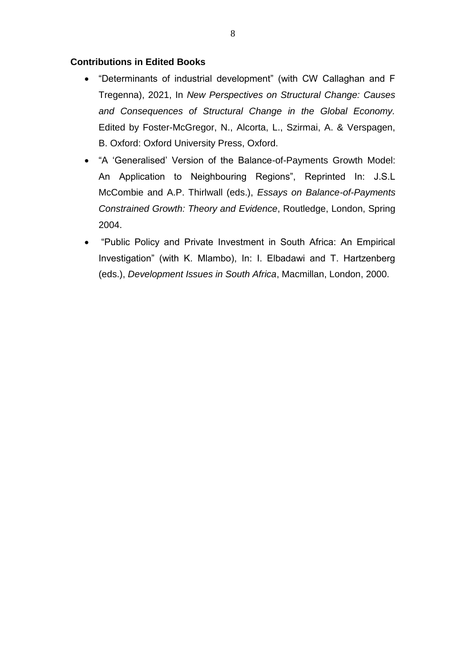### **Contributions in Edited Books**

- "Determinants of industrial development" (with CW Callaghan and F Tregenna), 2021, In *New Perspectives on Structural Change: Causes and Consequences of Structural Change in the Global Economy.*  Edited by Foster-McGregor, N., Alcorta, L., Szirmai, A. & Verspagen, B. Oxford: Oxford University Press, Oxford.
- "A 'Generalised' Version of the Balance-of-Payments Growth Model: An Application to Neighbouring Regions", Reprinted In: J.S.L McCombie and A.P. Thirlwall (eds.), *Essays on Balance-of-Payments Constrained Growth: Theory and Evidence*, Routledge, London, Spring 2004.
- "Public Policy and Private Investment in South Africa: An Empirical Investigation" (with K. Mlambo), In: I. Elbadawi and T. Hartzenberg (eds.), *Development Issues in South Africa*, Macmillan, London, 2000.